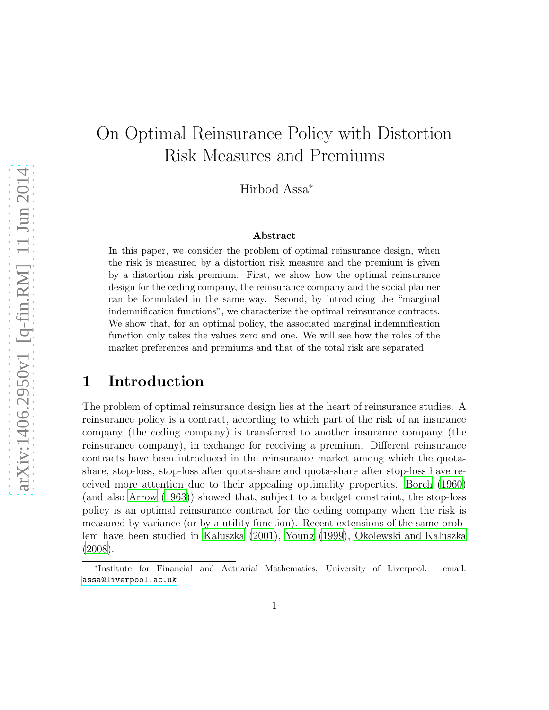# On Optimal Reinsurance Policy with Distortion Risk Measures and Premiums

Hirbod Assa<sup>∗</sup>

#### Abstract

In this paper, we consider the problem of optimal reinsurance design, when the risk is measured by a distortion risk measure and the premium is given by a distortion risk premium. First, we show how the optimal reinsurance design for the ceding company, the reinsurance company and the social planner can be formulated in the same way. Second, by introducing the "marginal indemnification functions", we characterize the optimal reinsurance contracts. We show that, for an optimal policy, the associated marginal indemnification function only takes the values zero and one. We will see how the roles of the market preferences and premiums and that of the total risk are separated.

### 1 Introduction

The problem of optimal reinsurance design lies at the heart of reinsurance studies. A reinsurance policy is a contract, according to which part of the risk of an insurance company (the ceding company) is transferred to another insurance company (the reinsurance company), in exchange for receiving a premium. Different reinsurance contracts have been introduced in the reinsurance market among which the quotashare, stop-loss, stop-loss after quota-share and quota-share after stop-loss have received more attention due to their appealing optimality properties. [Borch \(1960\)](#page-16-0) (and also [Arrow \(1963\)](#page-16-1)) showed that, subject to a budget constraint, the stop-loss policy is an optimal reinsurance contract for the ceding company when the risk is measured by variance (or by a utility function). Recent extensions of the same problem have been studied in [Kaluszka \(2001\)](#page-16-2), [Young \(1999](#page-17-0)), Okolewski and Kaluszka (2008).

<sup>∗</sup> Institute for Financial and Actuarial Mathematics, University of Liverpool. email: <assa@liverpool.ac.uk>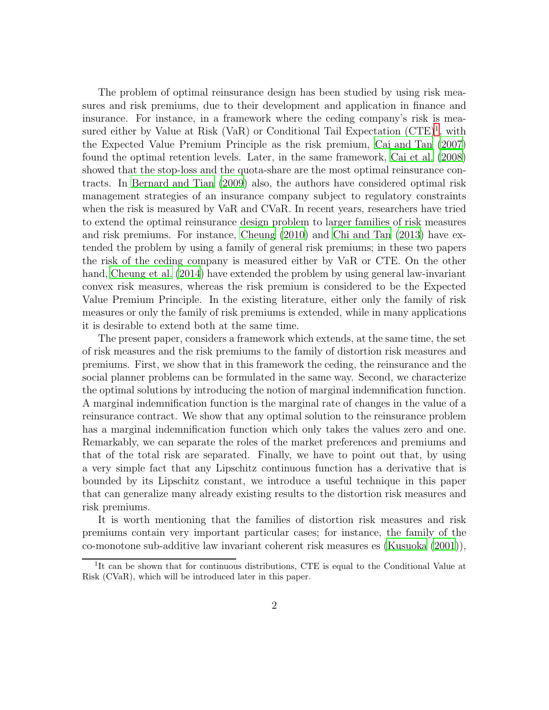The problem of optimal reinsurance design has been studied by using risk measures and risk premiums, due to their development and application in finance and insurance. For instance, in a framework where the ceding company's risk is measured either by Value at Risk (VaR) or Conditional Tail Expectation  $(CTE)^1$  $(CTE)^1$ , with the Expected Value Premium Principle as the risk premium, Cai and Tan (2007) found the optimal retention levels. Later, in the same framework, Cai et al. (2008) showed that the stop-loss and the quota-share are the most optimal reinsurance contracts. In Bernard and Tian (2009) also, the authors have considered optimal risk management strategies of an insurance company subject to regulatory constraints when the risk is measured by VaR and CVaR. In recent years, researchers have tried to extend the optimal reinsurance design problem to larger families of risk measures and risk premiums. For instance, [Cheung \(2010\)](#page-16-3) and Chi and Tan (2013) have extended the problem by using a family of general risk premiums; in these two papers the risk of the ceding company is measured either by VaR or CTE. On the other hand, Cheung et al. (2014) have extended the problem by using general law-invariant convex risk measures, whereas the risk premium is considered to be the Expected Value Premium Principle. In the existing literature, either only the family of risk measures or only the family of risk premiums is extended, while in many applications it is desirable to extend both at the same time.

The present paper, considers a framework which extends, at the same time, the set of risk measures and the risk premiums to the family of distortion risk measures and premiums. First, we show that in this framework the ceding, the reinsurance and the social planner problems can be formulated in the same way. Second, we characterize the optimal solutions by introducing the notion of marginal indemnification function. A marginal indemnification function is the marginal rate of changes in the value of a reinsurance contract. We show that any optimal solution to the reinsurance problem has a marginal indemnification function which only takes the values zero and one. Remarkably, we can separate the roles of the market preferences and premiums and that of the total risk are separated. Finally, we have to point out that, by using a very simple fact that any Lipschitz continuous function has a derivative that is bounded by its Lipschitz constant, we introduce a useful technique in this paper that can generalize many already existing results to the distortion risk measures and risk premiums.

It is worth mentioning that the families of distortion risk measures and risk premiums contain very important particular cases; for instance, the family of the co-monotone sub-additive law invariant coherent risk measures es [\(Kusuoka \(2001\)](#page-17-1)),

<span id="page-1-0"></span><sup>&</sup>lt;sup>1</sup>It can be shown that for continuous distributions, CTE is equal to the Conditional Value at Risk (CVaR), which will be introduced later in this paper.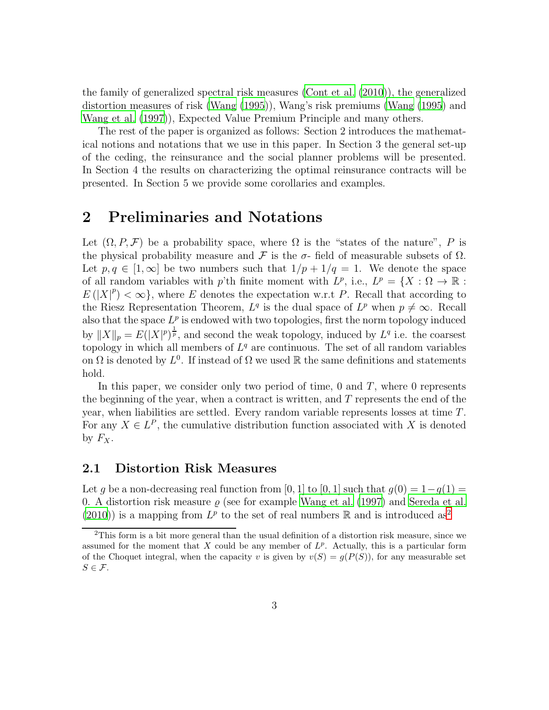the family of generalized spectral risk measures (Cont et al. (2010)), the generalized distortion measures of risk [\(Wang \(1995](#page-17-2))), Wang's risk premiums [\(Wang \(1995](#page-17-2)) and Wang et al. (1997)), Expected Value Premium Principle and many others.

The rest of the paper is organized as follows: Section 2 introduces the mathematical notions and notations that we use in this paper. In Section 3 the general set-up of the ceding, the reinsurance and the social planner problems will be presented. In Section 4 the results on characterizing the optimal reinsurance contracts will be presented. In Section 5 we provide some corollaries and examples.

### 2 Preliminaries and Notations

Let  $(\Omega, P, \mathcal{F})$  be a probability space, where  $\Omega$  is the "states of the nature", P is the physical probability measure and F is the  $\sigma$ - field of measurable subsets of  $\Omega$ . Let  $p, q \in [1, \infty]$  be two numbers such that  $1/p + 1/q = 1$ . We denote the space of all random variables with p'th finite moment with  $L^p$ , i.e.,  $L^p = \{X : \Omega \to \mathbb{R} :$  $E(|X|^p) < \infty$ , where E denotes the expectation w.r.t P. Recall that according to the Riesz Representation Theorem,  $L^q$  is the dual space of  $L^p$  when  $p \neq \infty$ . Recall also that the space  $L^p$  is endowed with two topologies, first the norm topology induced by  $||X||_p = E(|X|^p)^{\frac{1}{p}}$ , and second the weak topology, induced by  $L^q$  i.e. the coarsest topology in which all members of  $L<sup>q</sup>$  are continuous. The set of all random variables on  $\Omega$  is denoted by  $L^0$ . If instead of  $\Omega$  we used  $\mathbb R$  the same definitions and statements hold.

In this paper, we consider only two period of time,  $0$  and  $T$ , where  $0$  represents the beginning of the year, when a contract is written, and  $T$  represents the end of the year, when liabilities are settled. Every random variable represents losses at time T. For any  $X \in L^P$ , the cumulative distribution function associated with X is denoted by  $F_X$ .

### 2.1 Distortion Risk Measures

Let q be a non-decreasing real function from [0, 1] to [0, 1] such that  $q(0) = 1-q(1) =$ 0. A distortion risk measure  $\rho$  (see for example Wang et al. (1997) and [Sereda et al.](#page-17-3) [\(2010\)](#page-17-3)) is a mapping from  $L^p$  to the set of real numbers  $\mathbb R$  and is introduced as<sup>[2](#page-2-0)</sup>

<span id="page-2-0"></span><sup>2</sup>This form is a bit more general than the usual definition of a distortion risk measure, since we assumed for the moment that X could be any member of  $L^p$ . Actually, this is a particular form of the Choquet integral, when the capacity v is given by  $v(S) = g(P(S))$ , for any measurable set  $S \in \mathcal{F}$ .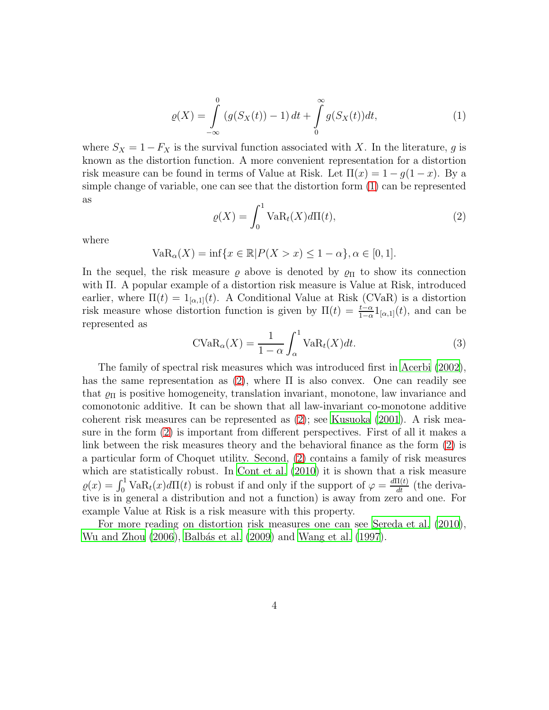<span id="page-3-0"></span>
$$
\varrho(X) = \int_{-\infty}^{0} (g(S_X(t)) - 1) dt + \int_{0}^{\infty} g(S_X(t)) dt,
$$
 (1)

where  $S_X = 1 - F_X$  is the survival function associated with X. In the literature, g is known as the distortion function. A more convenient representation for a distortion risk measure can be found in terms of Value at Risk. Let  $\Pi(x) = 1 - g(1-x)$ . By a simple change of variable, one can see that the distortion form [\(1\)](#page-3-0) can be represented as

<span id="page-3-1"></span>
$$
\varrho(X) = \int_0^1 \text{VaR}_t(X)d\Pi(t),\tag{2}
$$

where

 $VaR_{\alpha}(X) = \inf\{x \in \mathbb{R} | P(X > x) \leq 1 - \alpha\}, \alpha \in [0, 1].$ 

In the sequel, the risk measure  $\varrho$  above is denoted by  $\varrho_{\Pi}$  to show its connection with Π. A popular example of a distortion risk measure is Value at Risk, introduced earlier, where  $\Pi(t) = 1_{\alpha,1}(t)$ . A Conditional Value at Risk (CVaR) is a distortion risk measure whose distortion function is given by  $\Pi(t) = \frac{t-\alpha}{1-\alpha} 1_{[\alpha,1]}(t)$ , and can be represented as

$$
CVaR_{\alpha}(X) = \frac{1}{1 - \alpha} \int_{\alpha}^{1} VaR_{t}(X)dt.
$$
 (3)

The family of spectral risk measures which was introduced first in [Acerbi \(2002\)](#page-16-4), has the same representation as [\(2\)](#page-3-1), where  $\Pi$  is also convex. One can readily see that  $\varrho_{\Pi}$  is positive homogeneity, translation invariant, monotone, law invariance and comonotonic additive. It can be shown that all law-invariant co-monotone additive coherent risk measures can be represented as [\(2\)](#page-3-1); see [Kusuoka](#page-17-1) [\(2001\)](#page-17-1). A risk measure in the form [\(2\)](#page-3-1) is important from different perspectives. First of all it makes a link between the risk measures theory and the behavioral finance as the form [\(2\)](#page-3-1) is a particular form of Choquet utility. Second, [\(2\)](#page-3-1) contains a family of risk measures which are statistically robust. In Cont et al.  $(2010)$  it is shown that a risk measure  $\varrho(x) = \int_0^1 \text{VaR}_t(x) d\Pi(t)$  is robust if and only if the support of  $\varphi = \frac{d\Pi(t)}{dt}$  (the derivative is in general a distribution and not a function) is away from zero and one. For example Value at Risk is a risk measure with this property.

For more reading on distortion risk measures one can see [Sereda et](#page-17-3) al. [\(2010\)](#page-17-3), Wu and Zhou (2006), Balbás et al. (2009) and Wang et al. (1997).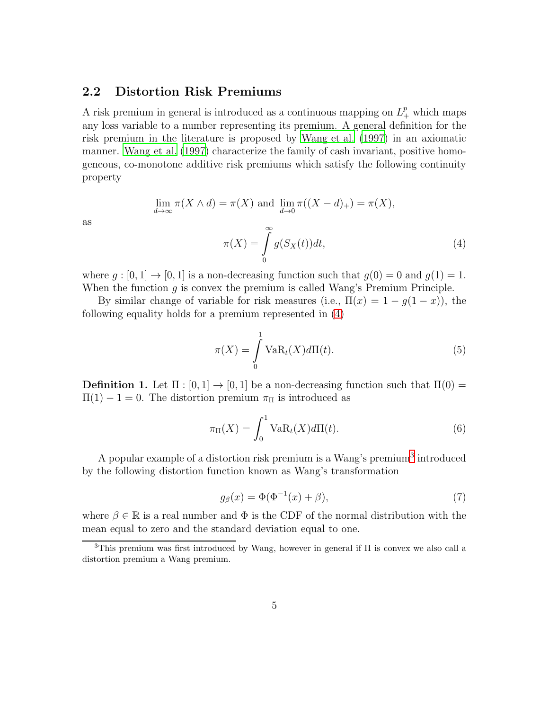#### 2.2 Distortion Risk Premiums

A risk premium in general is introduced as a continuous mapping on  $L^p_+$  which maps any loss variable to a number representing its premium. A general definition for the risk premium in the literature is proposed by Wang et al. (1997) in an axiomatic manner. Wang et al. (1997) characterize the family of cash invariant, positive homogeneous, co-monotone additive risk premiums which satisfy the following continuity property

$$
\overline{\text{as}}
$$

<span id="page-4-0"></span>
$$
\lim_{d \to \infty} \pi(X \wedge d) = \pi(X) \text{ and } \lim_{d \to 0} \pi((X - d)_+) = \pi(X),
$$

$$
\pi(X) = \int_{0}^{\infty} g(S_X(t))dt,
$$
(4)

where  $g:[0,1] \to [0,1]$  is a non-decreasing function such that  $g(0) = 0$  and  $g(1) = 1$ . When the function  $q$  is convex the premium is called Wang's Premium Principle.

By similar change of variable for risk measures (i.e.,  $\Pi(x) = 1 - g(1-x)$ ), the following equality holds for a premium represented in [\(4\)](#page-4-0)

$$
\pi(X) = \int_{0}^{1} \text{VaR}_{t}(X) d\Pi(t).
$$
\n(5)

Definition 1. Let  $\Pi : [0, 1] \rightarrow [0, 1]$  be a non-decreasing function such that  $\Pi(0) =$  $\Pi(1) - 1 = 0$ . The distortion premium  $\pi_{\Pi}$  is introduced as

$$
\pi_{\Pi}(X) = \int_0^1 \text{VaR}_t(X) d\Pi(t). \tag{6}
$$

A popular example of a distortion risk premium is a Wang's premium<sup>[3](#page-4-1)</sup> introduced by the following distortion function known as Wang's transformation

<span id="page-4-2"></span>
$$
g_{\beta}(x) = \Phi(\Phi^{-1}(x) + \beta),\tag{7}
$$

where  $\beta \in \mathbb{R}$  is a real number and  $\Phi$  is the CDF of the normal distribution with the mean equal to zero and the standard deviation equal to one.

<span id="page-4-1"></span><sup>&</sup>lt;sup>3</sup>This premium was first introduced by Wang, however in general if  $\Pi$  is convex we also call a distortion premium a Wang premium.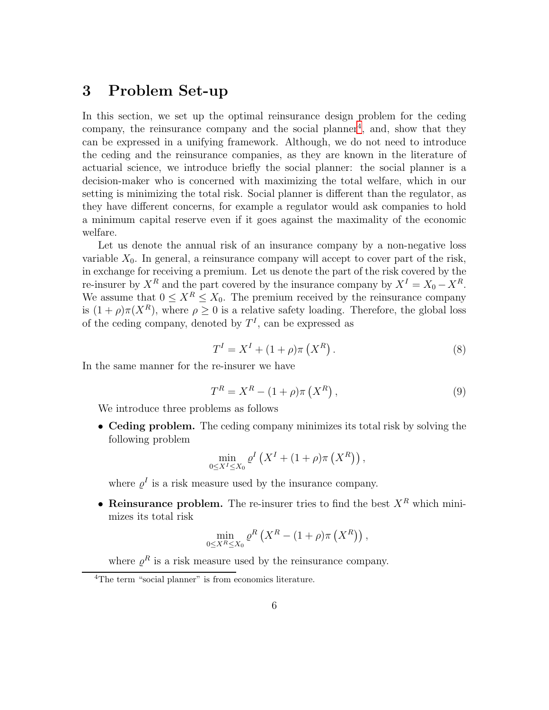### 3 Problem Set-up

In this section, we set up the optimal reinsurance design problem for the ceding company, the reinsurance company and the social planner<sup>[4](#page-5-0)</sup>, and, show that they can be expressed in a unifying framework. Although, we do not need to introduce the ceding and the reinsurance companies, as they are known in the literature of actuarial science, we introduce briefly the social planner: the social planner is a decision-maker who is concerned with maximizing the total welfare, which in our setting is minimizing the total risk. Social planner is different than the regulator, as they have different concerns, for example a regulator would ask companies to hold a minimum capital reserve even if it goes against the maximality of the economic welfare.

Let us denote the annual risk of an insurance company by a non-negative loss variable  $X_0$ . In general, a reinsurance company will accept to cover part of the risk, in exchange for receiving a premium. Let us denote the part of the risk covered by the re-insurer by  $X^R$  and the part covered by the insurance company by  $X^I = X_0 - X^R$ . We assume that  $0 \le X^R \le X_0$ . The premium received by the reinsurance company is  $(1 + \rho)\pi(X^R)$ , where  $\rho \geq 0$  is a relative safety loading. Therefore, the global loss of the ceding company, denoted by  $T<sup>I</sup>$ , can be expressed as

$$
T^{I} = X^{I} + (1 + \rho)\pi (X^{R}).
$$
\n(8)

In the same manner for the re-insurer we have

$$
T^{R} = X^{R} - (1 + \rho)\pi \left(X^{R}\right),\tag{9}
$$

We introduce three problems as follows

• Ceding problem. The ceding company minimizes its total risk by solving the following problem

$$
\min_{0 \leq X^I \leq X_0} \varrho^I \left( X^I + (1+\rho)\pi \left( X^R \right) \right),\,
$$

where  $\varrho^I$  is a risk measure used by the insurance company.

• Reinsurance problem. The re-insurer tries to find the best  $X^R$  which minimizes its total risk

$$
\min_{0\leq X^R\leq X_0}\varrho^R\left(X^R-(1+\rho)\pi\left(X^R\right)\right),\,
$$

where  $\varrho^R$  is a risk measure used by the reinsurance company.

<span id="page-5-0"></span><sup>&</sup>lt;sup>4</sup>The term "social planner" is from economics literature.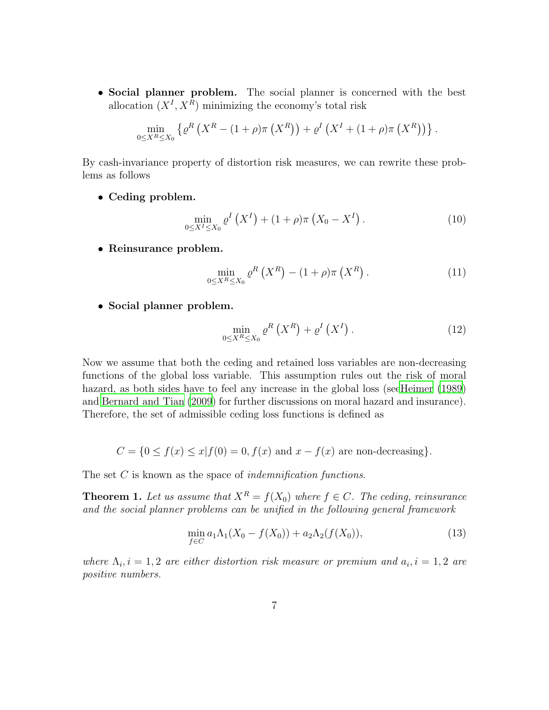• Social planner problem. The social planner is concerned with the best allocation  $(X^I, X^R)$  minimizing the economy's total risk

$$
\min_{0\leq X^R\leq X_0}\left\{\varrho^R\left(X^R-(1+\rho)\pi\left(X^R\right)\right)+\varrho^I\left(X^I+(1+\rho)\pi\left(X^R\right)\right)\right\}.
$$

By cash-invariance property of distortion risk measures, we can rewrite these problems as follows

• Ceding problem.

<span id="page-6-0"></span>
$$
\min_{0 \le X^I \le X_0} \varrho^I \left( X^I \right) + (1 + \rho) \pi \left( X_0 - X^I \right). \tag{10}
$$

• Reinsurance problem.

<span id="page-6-3"></span>
$$
\min_{0 \le X^R \le X_0} \varrho^R \left( X^R \right) - (1 + \rho) \pi \left( X^R \right). \tag{11}
$$

• Social planner problem.

<span id="page-6-2"></span>
$$
\min_{0 \le X^R \le X_0} \varrho^R \left( X^R \right) + \varrho^I \left( X^I \right). \tag{12}
$$

Now we assume that both the ceding and retained loss variables are non-decreasing functions of the global loss variable. This assumption rules out the risk of moral hazard, as both sides have to feel any increase in the global loss (se[eHeimer \(1989\)](#page-16-5) and Bernard and Tian (2009) for further discussions on moral hazard and insurance). Therefore, the set of admissible ceding loss functions is defined as

$$
C = \{0 \le f(x) \le x | f(0) = 0, f(x) \text{ and } x - f(x) \text{ are non-decreasing}\}.
$$

The set C is known as the space of *indemnification functions*.

**Theorem 1.** Let us assume that  $X^R = f(X_0)$  where  $f \in C$ . The ceding, reinsurance *and the social planner problems can be unified in the following general framework*

<span id="page-6-1"></span>
$$
\min_{f \in C} a_1 \Lambda_1(X_0 - f(X_0)) + a_2 \Lambda_2(f(X_0)),\tag{13}
$$

where  $\Lambda_i$ ,  $i = 1, 2$  are either distortion risk measure or premium and  $a_i$ ,  $i = 1, 2$  are *positive numbers.*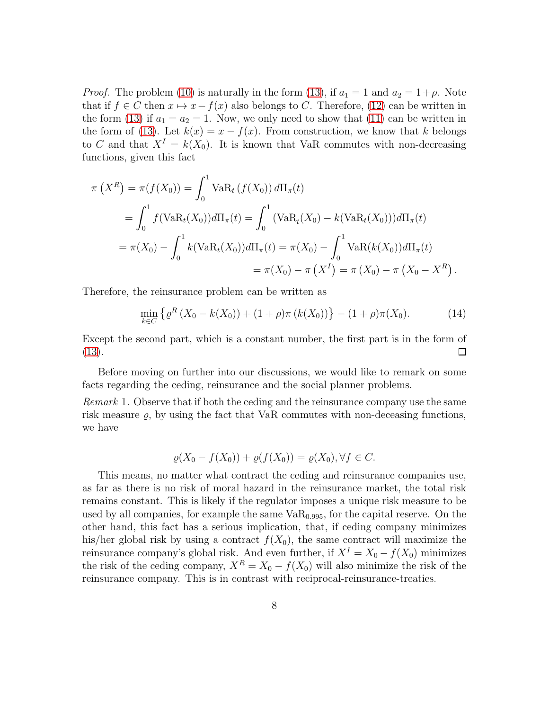*Proof.* The problem [\(10\)](#page-6-0) is naturally in the form [\(13\)](#page-6-1), if  $a_1 = 1$  and  $a_2 = 1 + \rho$ . Note that if  $f \in C$  then  $x \mapsto x - f(x)$  also belongs to C. Therefore, [\(12\)](#page-6-2) can be written in the form [\(13\)](#page-6-1) if  $a_1 = a_2 = 1$ . Now, we only need to show that [\(11\)](#page-6-3) can be written in the form of [\(13\)](#page-6-1). Let  $k(x) = x - f(x)$ . From construction, we know that k belongs to C and that  $X^I = k(X_0)$ . It is known that VaR commutes with non-decreasing functions, given this fact

$$
\pi(X^{R}) = \pi(f(X_{0})) = \int_{0}^{1} \text{VaR}_{t} (f(X_{0})) d\Pi_{\pi}(t)
$$
  
\n
$$
= \int_{0}^{1} f(\text{VaR}_{t}(X_{0})) d\Pi_{\pi}(t) = \int_{0}^{1} (\text{VaR}_{t}(X_{0}) - k(\text{VaR}_{t}(X_{0}))) d\Pi_{\pi}(t)
$$
  
\n
$$
= \pi(X_{0}) - \int_{0}^{1} k(\text{VaR}_{t}(X_{0})) d\Pi_{\pi}(t) = \pi(X_{0}) - \int_{0}^{1} \text{VaR}(k(X_{0})) d\Pi_{\pi}(t)
$$
  
\n
$$
= \pi(X_{0}) - \pi (X^{I}) = \pi (X_{0}) - \pi (X_{0} - X^{R}).
$$

Therefore, the reinsurance problem can be written as

$$
\min_{k \in C} \left\{ \varrho^R \left( X_0 - k(X_0) \right) + (1 + \rho) \pi \left( k(X_0) \right) \right\} - (1 + \rho) \pi(X_0). \tag{14}
$$

Except the second part, which is a constant number, the first part is in the form of [\(13\)](#page-6-1).  $\Box$ 

Before moving on further into our discussions, we would like to remark on some facts regarding the ceding, reinsurance and the social planner problems.

*Remark* 1*.* Observe that if both the ceding and the reinsurance company use the same risk measure  $\varrho$ , by using the fact that VaR commutes with non-deceasing functions, we have

$$
\varrho(X_0 - f(X_0)) + \varrho(f(X_0)) = \varrho(X_0), \forall f \in C.
$$

This means, no matter what contract the ceding and reinsurance companies use, as far as there is no risk of moral hazard in the reinsurance market, the total risk remains constant. This is likely if the regulator imposes a unique risk measure to be used by all companies, for example the same  $VaR<sub>0.995</sub>$ , for the capital reserve. On the other hand, this fact has a serious implication, that, if ceding company minimizes his/her global risk by using a contract  $f(X_0)$ , the same contract will maximize the reinsurance company's global risk. And even further, if  $X<sup>I</sup> = X_0 - f(X_0)$  minimizes the risk of the ceding company,  $X^R = X_0 - f(X_0)$  will also minimize the risk of the reinsurance company. This is in contrast with reciprocal-reinsurance-treaties.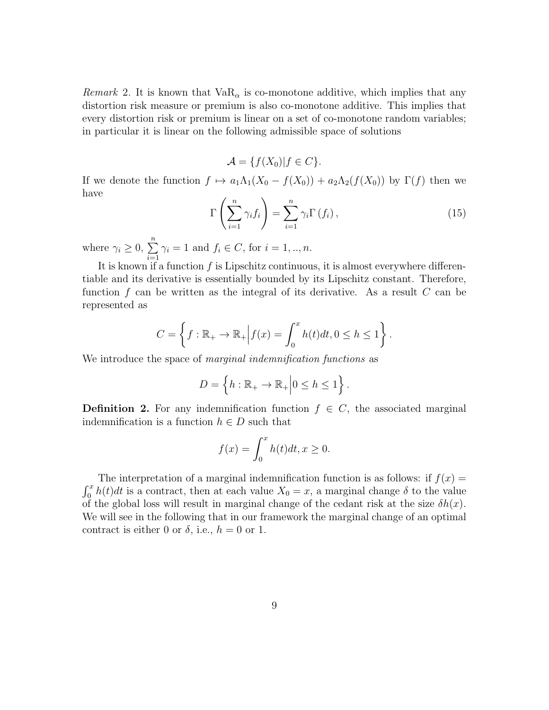*Remark* 2. It is known that  $VaR_{\alpha}$  is co-monotone additive, which implies that any distortion risk measure or premium is also co-monotone additive. This implies that every distortion risk or premium is linear on a set of co-monotone random variables; in particular it is linear on the following admissible space of solutions

$$
\mathcal{A} = \{f(X_0)|f \in C\}.
$$

If we denote the function  $f \mapsto a_1 \Lambda_1(X_0 - f(X_0)) + a_2 \Lambda_2(f(X_0))$  by  $\Gamma(f)$  then we have

$$
\Gamma\left(\sum_{i=1}^{n} \gamma_i f_i\right) = \sum_{i=1}^{n} \gamma_i \Gamma\left(f_i\right),\tag{15}
$$

where  $\gamma_i \geq 0, \sum_{i=1}^n$  $i=1$  $\gamma_i = 1$  and  $f_i \in C$ , for  $i = 1, ..., n$ .

It is known if a function  $f$  is Lipschitz continuous, it is almost everywhere differentiable and its derivative is essentially bounded by its Lipschitz constant. Therefore, function  $f$  can be written as the integral of its derivative. As a result  $C$  can be represented as

$$
C = \left\{ f : \mathbb{R}_+ \to \mathbb{R}_+ \Big| f(x) = \int_0^x h(t)dt, 0 \le h \le 1 \right\}.
$$

We introduce the space of *marginal indemnification functions* as

$$
D = \left\{ h : \mathbb{R}_+ \to \mathbb{R}_+ \middle| 0 \le h \le 1 \right\}.
$$

**Definition 2.** For any indemnification function  $f \in C$ , the associated marginal indemnification is a function  $h \in D$  such that

$$
f(x) = \int_0^x h(t)dt, x \ge 0.
$$

The interpretation of a marginal indemnification function is as follows: if  $f(x) =$  $\int_0^x h(t)dt$  is a contract, then at each value  $X_0 = x$ , a marginal change  $\delta$  to the value of the global loss will result in marginal change of the cedant risk at the size  $\delta h(x)$ . We will see in the following that in our framework the marginal change of an optimal contract is either 0 or  $\delta$ , i.e.,  $h = 0$  or 1.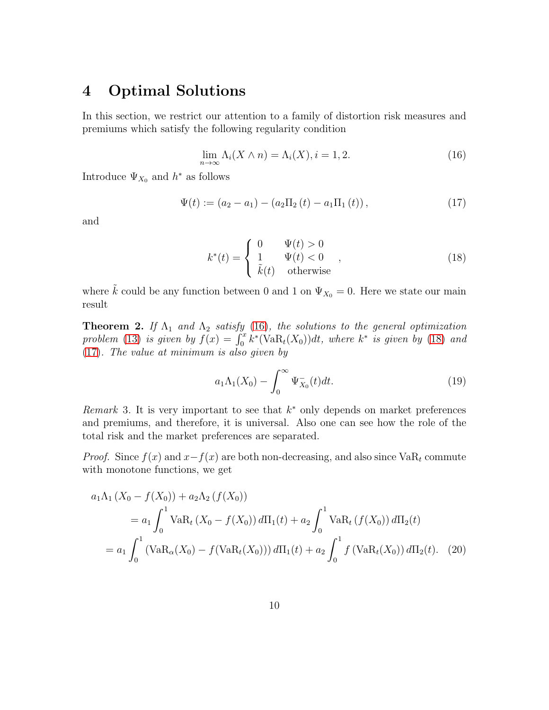## 4 Optimal Solutions

In this section, we restrict our attention to a family of distortion risk measures and premiums which satisfy the following regularity condition

<span id="page-9-0"></span>
$$
\lim_{n \to \infty} \Lambda_i(X \wedge n) = \Lambda_i(X), i = 1, 2. \tag{16}
$$

Introduce  $\Psi_{X_0}$  and  $h^*$  as follows

<span id="page-9-2"></span>
$$
\Psi(t) := (a_2 - a_1) - (a_2 \Pi_2(t) - a_1 \Pi_1(t)), \qquad (17)
$$

and

<span id="page-9-1"></span>
$$
k^*(t) = \begin{cases} 0 & \Psi(t) > 0 \\ 1 & \Psi(t) < 0 \\ \tilde{k}(t) & \text{otherwise} \end{cases}
$$
 (18)

where  $\tilde{k}$  could be any function between 0 and 1 on  $\Psi_{X_0} = 0$ . Here we state our main result

**Theorem 2.** *If*  $\Lambda_1$  *and*  $\Lambda_2$  *satisfy* [\(16\)](#page-9-0)*, the solutions to the general optimization* problem [\(13\)](#page-6-1) *is given by*  $f(x) = \int_0^x k^* (\text{VaR}_t(X_0)) dt$ *, where*  $k^*$  *is given by* [\(18\)](#page-9-1) *and* [\(17\)](#page-9-2)*. The value at minimum is also given by*

$$
a_1 \Lambda_1(X_0) - \int_0^\infty \Psi_{X_0}^-(t) dt.
$$
 (19)

*Remark* 3. It is very important to see that  $k^*$  only depends on market preferences and premiums, and therefore, it is universal. Also one can see how the role of the total risk and the market preferences are separated.

*Proof.* Since  $f(x)$  and  $x-f(x)$  are both non-decreasing, and also since  $VaR<sub>t</sub>$  commute with monotone functions, we get

$$
a_1 \Lambda_1 (X_0 - f(X_0)) + a_2 \Lambda_2 (f(X_0))
$$
  
=  $a_1 \int_0^1 \text{VaR}_t (X_0 - f(X_0)) d\Pi_1(t) + a_2 \int_0^1 \text{VaR}_t (f(X_0)) d\Pi_2(t)$   
=  $a_1 \int_0^1 (\text{VaR}_{\alpha}(X_0) - f(\text{VaR}_t(X_0))) d\Pi_1(t) + a_2 \int_0^1 f(\text{VaR}_t(X_0)) d\Pi_2(t).$  (20)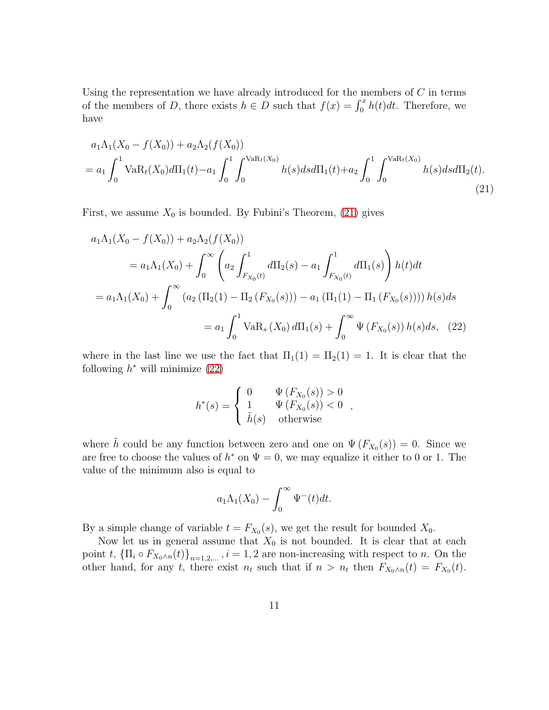Using the representation we have already introduced for the members of  $C$  in terms of the members of D, there exists  $h \in D$  such that  $f(x) = \int_0^x h(t)dt$ . Therefore, we have

$$
a_1 \Lambda_1(X_0 - f(X_0)) + a_2 \Lambda_2(f(X_0))
$$
  
=  $a_1 \int_0^1 \text{VaR}_t(X_0) d\Pi_1(t) - a_1 \int_0^1 \int_0^{\text{VaR}_t(X_0)} h(s) ds d\Pi_1(t) + a_2 \int_0^1 \int_0^{\text{VaR}_t(X_0)} h(s) ds d\Pi_2(t).$  (21)

First, we assume  $X_0$  is bounded. By Fubini's Theorem, [\(21\)](#page-10-0) gives

$$
a_1 \Lambda_1(X_0 - f(X_0)) + a_2 \Lambda_2(f(X_0))
$$
  
=  $a_1 \Lambda_1(X_0) + \int_0^\infty \left( a_2 \int_{F_{X_0}(t)}^1 d\Pi_2(s) - a_1 \int_{F_{X_0}(t)}^1 d\Pi_1(s) \right) h(t) dt$   
=  $a_1 \Lambda_1(X_0) + \int_0^\infty (a_2 (\Pi_2(1) - \Pi_2(F_{X_0}(s))) - a_1 (\Pi_1(1) - \Pi_1(F_{X_0}(s)))) h(s) ds$   
=  $a_1 \int_0^1 \text{VaR}_s(X_0) d\Pi_1(s) + \int_0^\infty \Psi(F_{X_0}(s)) h(s) ds$ , (22)

where in the last line we use the fact that  $\Pi_1(1) = \Pi_2(1) = 1$ . It is clear that the following  $h^*$  will minimize  $(22)$ 

<span id="page-10-1"></span><span id="page-10-0"></span>
$$
h^*(s) = \begin{cases} 0 & \Psi(F_{X_0}(s)) > 0 \\ 1 & \Psi(F_{X_0}(s)) < 0 \\ \tilde{h}(s) & \text{otherwise} \end{cases}
$$

where  $\tilde{h}$  could be any function between zero and one on  $\Psi(F_{X_0}(s)) = 0$ . Since we are free to choose the values of  $h^*$  on  $\Psi = 0$ , we may equalize it either to 0 or 1. The value of the minimum also is equal to

$$
a_1 \Lambda_1(X_0) - \int_0^\infty \Psi^-(t) dt.
$$

By a simple change of variable  $t = F_{X_0}(s)$ , we get the result for bounded  $X_0$ .

Now let us in general assume that  $X_0$  is not bounded. It is clear that at each point t,  ${\{\Pi_i \circ F_{X_0 \wedge n}(t)\}}_{n=1,2,\dots}$ ,  $i=1,2$  are non-increasing with respect to n. On the other hand, for any t, there exist  $n_t$  such that if  $n > n_t$  then  $F_{X_0 \wedge n}(t) = F_{X_0}(t)$ .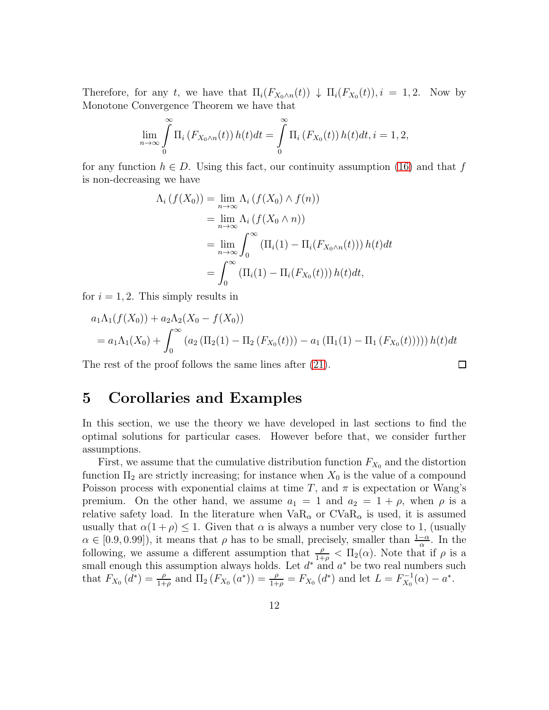Therefore, for any t, we have that  $\Pi_i(F_{X_0\wedge n}(t)) \downarrow \Pi_i(F_{X_0}(t)), i = 1, 2$ . Now by Monotone Convergence Theorem we have that

$$
\lim_{n \to \infty} \int\limits_0^\infty \Pi_i \left( F_{X_0 \wedge n}(t) \right) h(t) dt = \int\limits_0^\infty \Pi_i \left( F_{X_0}(t) \right) h(t) dt, i = 1, 2,
$$

for any function  $h \in D$ . Using this fact, our continuity assumption [\(16\)](#page-9-0) and that f is non-decreasing we have

$$
\Lambda_i(f(X_0)) = \lim_{n \to \infty} \Lambda_i(f(X_0) \wedge f(n))
$$
  
\n
$$
= \lim_{n \to \infty} \Lambda_i(f(X_0 \wedge n))
$$
  
\n
$$
= \lim_{n \to \infty} \int_0^\infty (\Pi_i(1) - \Pi_i(F_{X_0 \wedge n}(t))) h(t) dt
$$
  
\n
$$
= \int_0^\infty (\Pi_i(1) - \Pi_i(F_{X_0}(t))) h(t) dt,
$$

for  $i = 1, 2$ . This simply results in

$$
a_1 \Lambda_1(f(X_0)) + a_2 \Lambda_2(X_0 - f(X_0))
$$
  
=  $a_1 \Lambda_1(X_0) + \int_0^\infty (a_2 (\Pi_2(1) - \Pi_2(F_{X_0}(t))) - a_1 (\Pi_1(1) - \Pi_1(F_{X_0}(t)))) h(t) dt$   
he rest of the proof follows the same lines after (21).

The rest of the proof follows the same lines after [\(21\)](#page-10-0).

### 5 Corollaries and Examples

In this section, we use the theory we have developed in last sections to find the optimal solutions for particular cases. However before that, we consider further assumptions.

First, we assume that the cumulative distribution function  $F_{X_0}$  and the distortion function  $\Pi_2$  are strictly increasing; for instance when  $X_0$  is the value of a compound Poisson process with exponential claims at time T, and  $\pi$  is expectation or Wang's premium. On the other hand, we assume  $a_1 = 1$  and  $a_2 = 1 + \rho$ , when  $\rho$  is a relative safety load. In the literature when  $VaR_{\alpha}$  or  $CVaR_{\alpha}$  is used, it is assumed usually that  $\alpha(1+\rho) \leq 1$ . Given that  $\alpha$  is always a number very close to 1, (usually  $\alpha \in [0.9, 0.99]$ , it means that  $\rho$  has to be small, precisely, smaller than  $\frac{1-\alpha}{\alpha}$ . In the following, we assume a different assumption that  $\frac{\rho}{1+\rho} < \Pi_2(\alpha)$ . Note that if  $\rho$  is a small enough this assumption always holds. Let  $d^*$  and  $a^*$  be two real numbers such that  $F_{X_0}(d^*) = \frac{\rho}{1+\rho}$  and  $\Pi_2(F_{X_0}(a^*)) = \frac{\rho}{1+\rho} = F_{X_0}(d^*)$  and let  $L = F_{X_0}^{-1}$  $x_0^{-1}(\alpha) - a^*$ .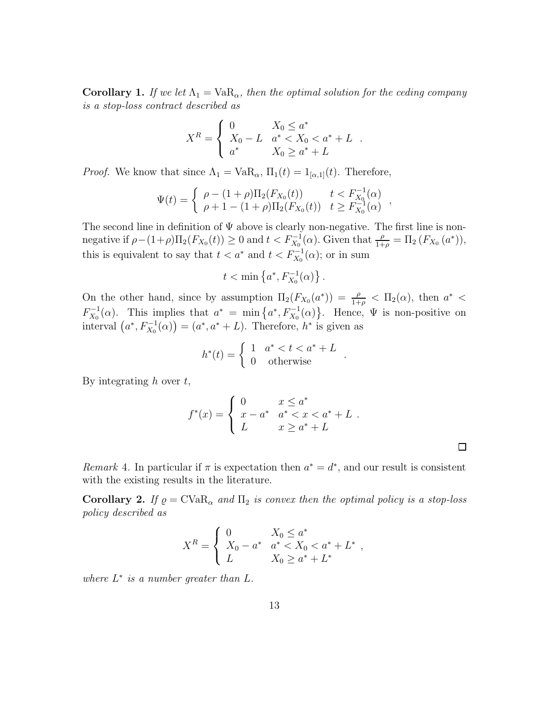<span id="page-12-0"></span>**Corollary 1.** *If we let*  $\Lambda_1 = \text{VaR}_{\alpha}$ , then the optimal solution for the ceding company *is a stop-loss contract described as*

$$
X^{R} = \begin{cases} 0 & X_0 \leq a^* \\ X_0 - L & a^* < X_0 < a^* + L \\ a^* & X_0 \geq a^* + L \end{cases}
$$

*Proof.* We know that since  $\Lambda_1 = \text{VaR}_{\alpha}$ ,  $\Pi_1(t) = 1_{[\alpha,1]}(t)$ . Therefore,

$$
\Psi(t) = \begin{cases} \n\rho - (1+\rho)\Pi_2(F_{X_0}(t)) & t < F_{X_0}^{-1}(\alpha) \\
\rho + 1 - (1+\rho)\Pi_2(F_{X_0}(t)) & t \geq F_{X_0}^{-1}(\alpha) \n\end{cases}
$$

The second line in definition of  $\Psi$  above is clearly non-negative. The first line is nonnegative if  $\rho - (1+\rho)\Pi_2(F_{X_0}(t)) \ge 0$  and  $t < F_{X_0}^{-1}(\alpha)$ . Given that  $\frac{\rho}{1+\rho} = \Pi_2(F_{X_0}(a^*)),$ this is equivalent to say that  $t < a^*$  and  $t < F_{X_0}^{-1}(\alpha)$ ; or in sum

$$
t<\min\left\{a^*, F_{X_0}^{-1}(\alpha)\right\}.
$$

On the other hand, since by assumption  $\Pi_2(F_{X_0}(a^*)) = \frac{\rho}{1+\rho} < \Pi_2(\alpha)$ , then  $a^*$  $F_{X_0}^{-1}$  $X_0^{-1}(\alpha)$ . This implies that  $a^* = \min\{a^*, F_{X_0}^{-1}(\alpha)\}\$ . Hence,  $\Psi$  is non-positive on interval  $(a^*, F_{X_0}^{-1}(\alpha)) = (a^*, a^* + L)$ . Therefore,  $h^*$  is given as

$$
h^*(t) = \begin{cases} 1 & a^* < t < a^* + L \\ 0 & \text{otherwise} \end{cases}.
$$

By integrating  $h$  over  $t$ ,

$$
f^*(x) = \begin{cases} 0 & x \leq a^* \\ x - a^* & a^* < x < a^* + L \\ L & x \geq a^* + L \end{cases}
$$

*Remark* 4. In particular if  $\pi$  is expectation then  $a^* = d^*$ , and our result is consistent with the existing results in the literature.

 $\Box$ 

Corollary 2. *If*  $\varrho = \text{CVaR}_{\alpha}$  *and*  $\Pi_2$  *is convex then the optimal policy is a stop-loss policy described as*

$$
X^{R} = \begin{cases} 0 & X_0 \leq a^* \\ X_0 - a^* & a^* < X_0 < a^* + L^* \\ L & X_0 \geq a^* + L^* \end{cases}
$$

*where* L ∗ *is a number greater than* L*.*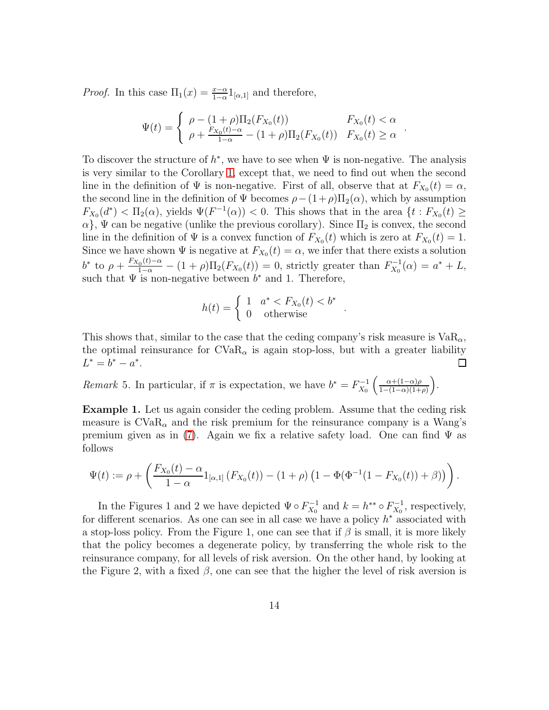*Proof.* In this case  $\Pi_1(x) = \frac{x-\alpha}{1-\alpha} 1_{[\alpha,1]}$  and therefore,

$$
\Psi(t) = \begin{cases}\n\rho - (1+\rho)\Pi_2(F_{X_0}(t)) & F_{X_0}(t) < \alpha \\
\rho + \frac{F_{X_0}(t) - \alpha}{1-\alpha} - (1+\rho)\Pi_2(F_{X_0}(t)) & F_{X_0}(t) \ge \alpha\n\end{cases}.
$$

To discover the structure of  $h^*$ , we have to see when  $\Psi$  is non-negative. The analysis is very similar to the Corollary [1,](#page-12-0) except that, we need to find out when the second line in the definition of  $\Psi$  is non-negative. First of all, observe that at  $F_{X_0}(t) = \alpha$ , the second line in the definition of  $\Psi$  becomes  $\rho - (1+\rho)\Pi_2(\alpha)$ , which by assumption  $F_{X_0}(d^*) < \Pi_2(\alpha)$ , yields  $\Psi(F^{-1}(\alpha)) < 0$ . This shows that in the area  $\{t : F_{X_0}(t) \geq 0\}$  $\alpha$ ,  $\Psi$  can be negative (unlike the previous corollary). Since  $\Pi_2$  is convex, the second line in the definition of  $\Psi$  is a convex function of  $F_{X_0}(t)$  which is zero at  $F_{X_0}(t) = 1$ . Since we have shown  $\Psi$  is negative at  $F_{X_0}(t) = \alpha$ , we infer that there exists a solution *b*<sup>∗</sup> to *ρ* +  $\frac{F_{X_0}(t) - \alpha}{1 - \alpha} - (1 + \rho) \Pi_2(F_{X_0}(t)) = 0$ , strictly greater than  $F_{X_0}^{-1}$  $X_0^{-1}(\alpha) = a^* + L,$ such that  $\Psi$  is non-negative between  $b^*$  and 1. Therefore,

$$
h(t) = \begin{cases} 1 & a^* < F_{X_0}(t) < b^* \\ 0 & \text{otherwise} \end{cases}.
$$

This shows that, similar to the case that the ceding company's risk measure is  $VaR_{\alpha}$ , the optimal reinsurance for  $\text{CVaR}_{\alpha}$  is again stop-loss, but with a greater liability  $L^* = b^* - a^*$ . □

*Remark* 5. In particular, if  $\pi$  is expectation, we have  $b^* = F_{X_0}^{-1}$  $X_0$   $\left( \frac{\alpha + (1-\alpha)\rho}{1-(1-\alpha)(1+\alpha)} \right)$  $\frac{\alpha+(1-\alpha)\rho}{1-(1-\alpha)(1+\rho)}\bigg).$ 

Example 1. Let us again consider the ceding problem. Assume that the ceding risk measure is  $CVaR_{\alpha}$  and the risk premium for the reinsurance company is a Wang's premium given as in [\(7\)](#page-4-2). Again we fix a relative safety load. One can find  $\Psi$  as follows

$$
\Psi(t) := \rho + \left( \frac{F_{X_0}(t) - \alpha}{1 - \alpha} 1_{[\alpha,1]} \left( F_{X_0}(t) \right) - (1 + \rho) \left( 1 - \Phi(\Phi^{-1}(1 - F_{X_0}(t)) + \beta) \right) \right).
$$

In the Figures 1 and 2 we have depicted  $\Psi \circ F_{X_0}^{-1}$  $X_0^{-1}$  and  $k = h^{**} \circ F_{X_0}^{-1}$  $X_0^{-1}$ , respectively, for different scenarios. As one can see in all case we have a policy  $h^*$  associated with a stop-loss policy. From the Figure 1, one can see that if  $\beta$  is small, it is more likely that the policy becomes a degenerate policy, by transferring the whole risk to the reinsurance company, for all levels of risk aversion. On the other hand, by looking at the Figure 2, with a fixed  $\beta$ , one can see that the higher the level of risk aversion is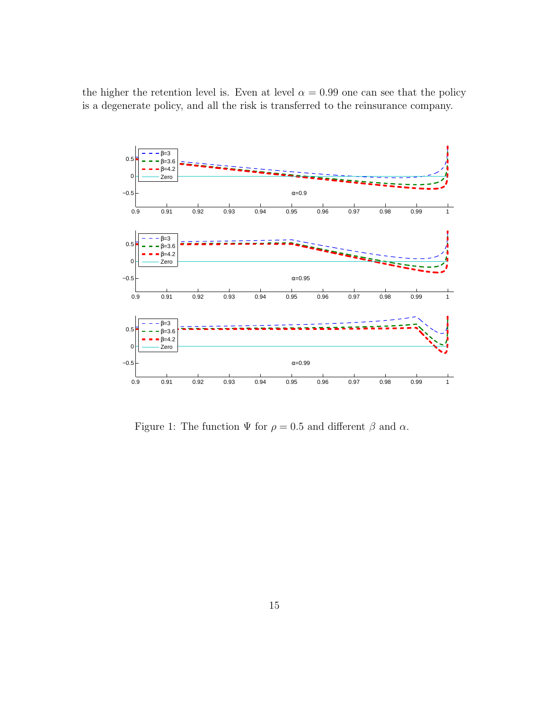the higher the retention level is. Even at level  $\alpha = 0.99$  one can see that the policy is a degenerate policy, and all the risk is transferred to the reinsurance company.



Figure 1: The function  $\Psi$  for  $\rho = 0.5$  and different  $\beta$  and  $\alpha$ .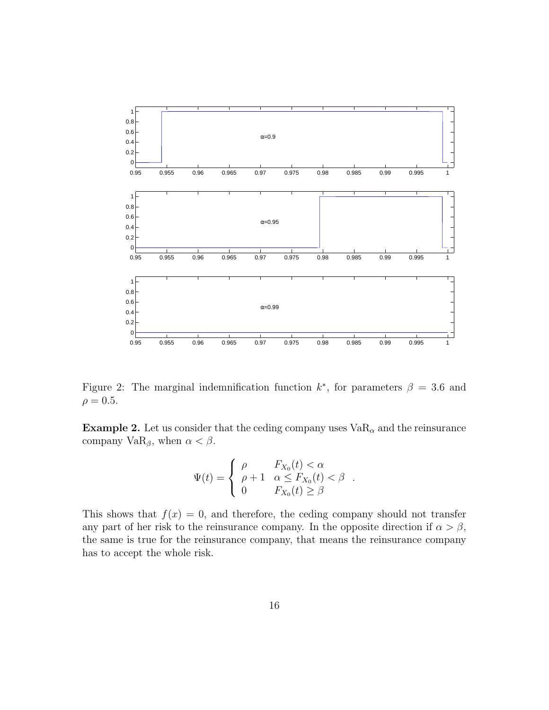

Figure 2: The marginal indemnification function  $k^*$ , for parameters  $\beta = 3.6$  and  $\rho = 0.5$ .

**Example 2.** Let us consider that the ceding company uses  $VaR_\alpha$  and the reinsurance company VaR<sub>β</sub>, when  $\alpha < \beta$ .

$$
\Psi(t) = \begin{cases}\n\rho & F_{X_0}(t) < \alpha \\
\rho + 1 & \alpha \le F_{X_0}(t) < \beta \\
0 & F_{X_0}(t) \ge \beta\n\end{cases}
$$

.

This shows that  $f(x) = 0$ , and therefore, the ceding company should not transfer any part of her risk to the reinsurance company. In the opposite direction if  $\alpha > \beta$ , the same is true for the reinsurance company, that means the reinsurance company has to accept the whole risk.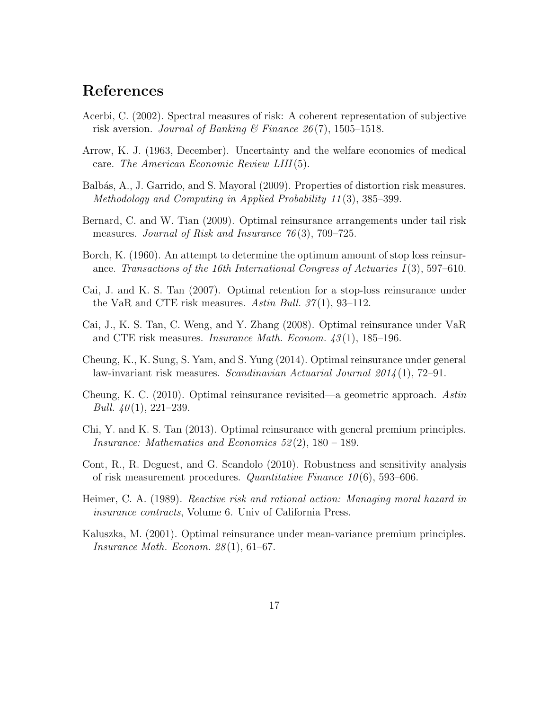## References

- <span id="page-16-4"></span>Acerbi, C. (2002). Spectral measures of risk: A coherent representation of subjective risk aversion. *Journal of Banking & Finance 26* (7), 1505–1518.
- <span id="page-16-1"></span>Arrow, K. J. (1963, December). Uncertainty and the welfare economics of medical care. *The American Economic Review LIII*(5).
- Balbás, A., J. Garrido, and S. Mayoral (2009). Properties of distortion risk measures. *Methodology and Computing in Applied Probability 11* (3), 385–399.
- Bernard, C. and W. Tian (2009). Optimal reinsurance arrangements under tail risk measures. *Journal of Risk and Insurance 76* (3), 709–725.
- <span id="page-16-0"></span>Borch, K. (1960). An attempt to determine the optimum amount of stop loss reinsurance. *Transactions of the 16th International Congress of Actuaries I*(3), 597–610.
- Cai, J. and K. S. Tan (2007). Optimal retention for a stop-loss reinsurance under the VaR and CTE risk measures. *Astin Bull. 37* (1), 93–112.
- Cai, J., K. S. Tan, C. Weng, and Y. Zhang (2008). Optimal reinsurance under VaR and CTE risk measures. *Insurance Math. Econom. 43* (1), 185–196.
- Cheung, K., K. Sung, S. Yam, and S. Yung (2014). Optimal reinsurance under general law-invariant risk measures. *Scandinavian Actuarial Journal 2014* (1), 72–91.
- <span id="page-16-3"></span>Cheung, K. C. (2010). Optimal reinsurance revisited—a geometric approach. *Astin Bull. 40* (1), 221–239.
- Chi, Y. and K. S. Tan (2013). Optimal reinsurance with general premium principles. *Insurance: Mathematics and Economics 52* (2), 180 – 189.
- Cont, R., R. Deguest, and G. Scandolo (2010). Robustness and sensitivity analysis of risk measurement procedures. *Quantitative Finance 10* (6), 593–606.
- <span id="page-16-5"></span>Heimer, C. A. (1989). *Reactive risk and rational action: Managing moral hazard in insurance contracts*, Volume 6. Univ of California Press.
- <span id="page-16-2"></span>Kaluszka, M. (2001). Optimal reinsurance under mean-variance premium principles. *Insurance Math. Econom. 28* (1), 61–67.